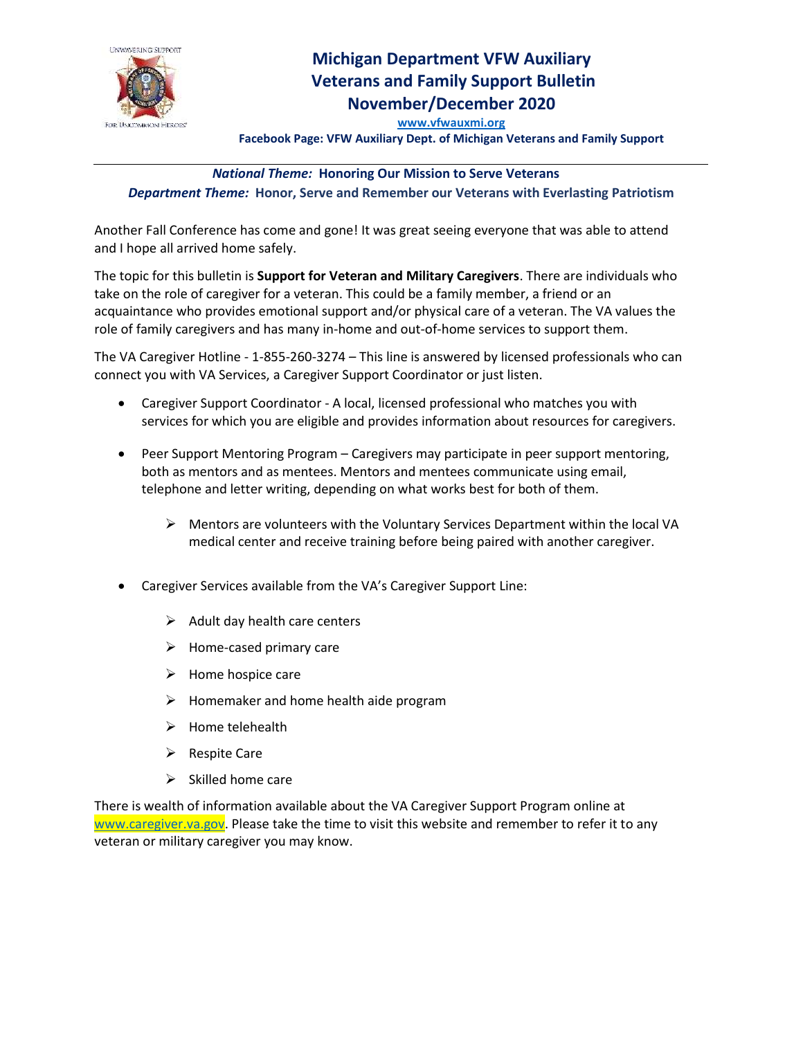

## **Michigan Department VFW Auxiliary Veterans and Family Support Bulletin November/December 2020**

**[www.vfwauxmi.org](http://www.vfwauxmi.org/)**

**Facebook Page: VFW Auxiliary Dept. of Michigan Veterans and Family Support**

## *National Theme:* **Honoring Our Mission to Serve Veterans**

*Department Theme:* **Honor, Serve and Remember our Veterans with Everlasting Patriotism**

Another Fall Conference has come and gone! It was great seeing everyone that was able to attend and I hope all arrived home safely.

The topic for this bulletin is **Support for Veteran and Military Caregivers**. There are individuals who take on the role of caregiver for a veteran. This could be a family member, a friend or an acquaintance who provides emotional support and/or physical care of a veteran. The VA values the role of family caregivers and has many in-home and out-of-home services to support them.

The VA Caregiver Hotline - 1-855-260-3274 – This line is answered by licensed professionals who can connect you with VA Services, a Caregiver Support Coordinator or just listen.

- Caregiver Support Coordinator A local, licensed professional who matches you with services for which you are eligible and provides information about resources for caregivers.
- Peer Support Mentoring Program Caregivers may participate in peer support mentoring, both as mentors and as mentees. Mentors and mentees communicate using email, telephone and letter writing, depending on what works best for both of them.
	- $\triangleright$  Mentors are volunteers with the Voluntary Services Department within the local VA medical center and receive training before being paired with another caregiver.
- Caregiver Services available from the VA's Caregiver Support Line:
	- $\triangleright$  Adult day health care centers
	- $\triangleright$  Home-cased primary care
	- $\triangleright$  Home hospice care
	- $\triangleright$  Homemaker and home health aide program
	- ➢ Home telehealth
	- ➢ Respite Care
	- $\triangleright$  Skilled home care

There is wealth of information available about the VA Caregiver Support Program online at [www.caregiver.va.gov.](http://www.caregiver.va.gov/) Please take the time to visit this website and remember to refer it to any veteran or military caregiver you may know.